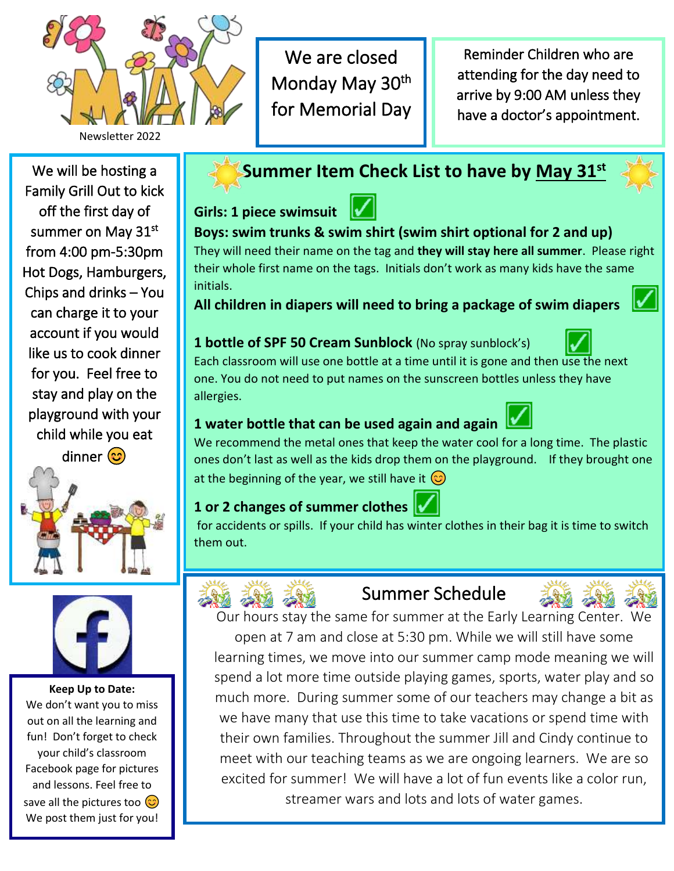

We are closed Monday May 30<sup>th</sup> for Memorial Day

Reminder Children who are attending for the day need to arrive by 9:00 AM unless they have a doctor's appointment.

We will be hosting a Family Grill Out to kick off the first day of summer on May 31st from 4:00 pm-5:30pm Hot Dogs, Hamburgers, Chips and drinks – You can charge it to your account if you would like us to cook dinner for you. Feel free to stay and play on the playground with your child while you eat dinner<sup>(c)</sup>





**Keep Up to Date:** We don't want you to miss out on all the learning and fun! Don't forget to check your child's classroom Facebook page for pictures and lessons. Feel free to save all the pictures too  $\circled{c}$ We post them just for you!

# **Summer Item Check List to have by May 31st**

**Girls: 1 piece swimsuit** 



**Boys: swim trunks & swim shirt (swim shirt optional for 2 and up)** They will need their name on the tag and **they will stay here all summer**. Please right their whole first name on the tags. Initials don't work as many kids have the same initials.

**All children in diapers will need to bring a package of swim diapers**

### **1 bottle of SPF 50 Cream Sunblock** (No spray sunblock's)



Each classroom will use one bottle at a time until it is gone and then use the next one. You do not need to put names on the sunscreen bottles unless they have allergies.

## **1 water bottle that can be used again and again**

We recommend the metal ones that keep the water cool for a long time. The plastic ones don't last as well as the kids drop them on the playground. If they brought one at the beginning of the year, we still have it  $\odot$ 

# **1 or 2 changes of summer clothes**

for accidents or spills. If your child has winter clothes in their bag it is time to switch them out.



# Summer Schedule



Our hours stay the same for summer at the Early Learning Center. We open at 7 am and close at 5:30 pm. While we will still have some

learning times, we move into our summer camp mode meaning we will spend a lot more time outside playing games, sports, water play and so much more. During summer some of our teachers may change a bit as we have many that use this time to take vacations or spend time with their own families. Throughout the summer Jill and Cindy continue to meet with our teaching teams as we are ongoing learners. We are so excited for summer! We will have a lot of fun events like a color run, streamer wars and lots and lots of water games.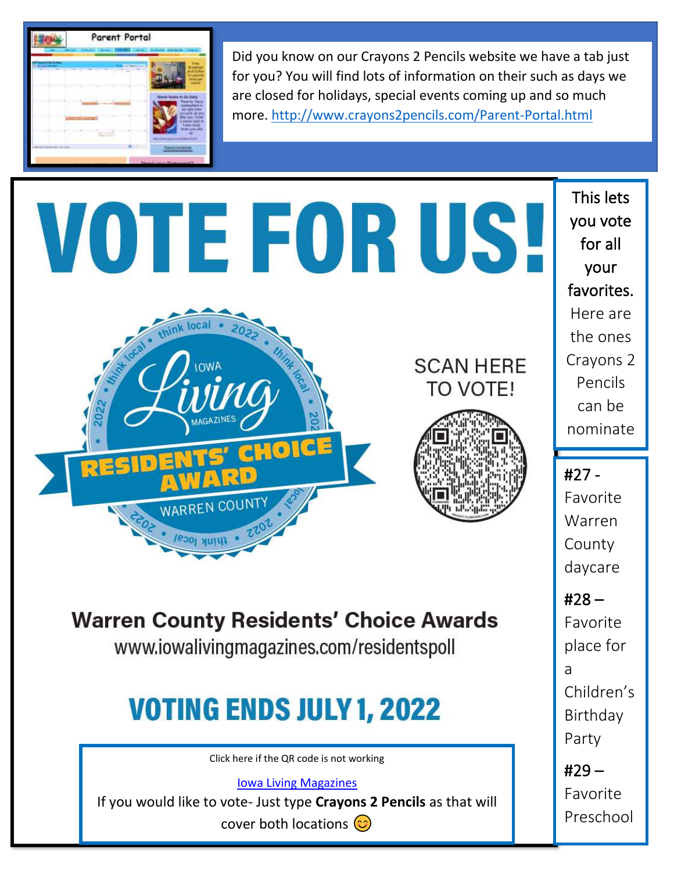

Did you know on our Crayons 2 Pencils website we have a tab just for you? You will find lots of information on their such as days we are closed for holidays, special events coming up and so much more.<http://www.crayons2pencils.com/Parent-Portal.html>

# VOTE FOR US!







# **Warren County Residents' Choice Awards**

www.iowalivingmagazines.com/residentspoll

# **VOTING ENDS JULY 1, 2022**

Click here if the QR code is not working

[Iowa Living Magazines](https://www.iowalivingmagazines.com/warren-county)

If you would like to vote- Just type **Crayons 2 Pencils** as that will

cover both locations  $\circled{c}$ 

I

This lets you vote for all your favorites. Here are the ones Crayons 2 Pencils can be nominate

d for. #27 - Favorite Warren County daycare

#28 –

Favorite place for a Children's Birthday Party

#29 – Favorite Preschool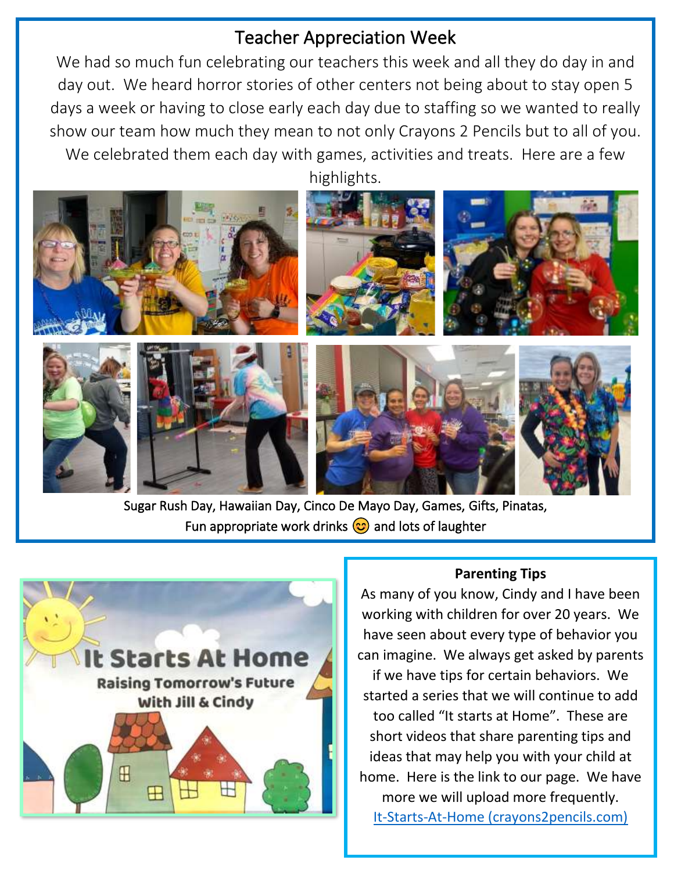# Teacher Appreciation Week

We had so much fun celebrating our teachers this week and all they do day in and day out. We heard horror stories of other centers not being about to stay open 5 days a week or having to close early each day due to staffing so we wanted to really show our team how much they mean to not only Crayons 2 Pencils but to all of you. We celebrated them each day with games, activities and treats. Here are a few



Sugar Rush Day, Hawaiian Day, Cinco De Mayo Day, Games, Gifts, Pinatas, Fun appropriate work drinks  $\circled{c}$  and lots of laughter



### **Parenting Tips**

As many of you know, Cindy and I have been working with children for over 20 years. We have seen about every type of behavior you can imagine. We always get asked by parents if we have tips for certain behaviors. We started a series that we will continue to add too called "It starts at Home". These are short videos that share parenting tips and ideas that may help you with your child at home. Here is the link to our page. We have more we will upload more frequently. [It-Starts-At-Home \(crayons2pencils.com\)](http://www.crayons2pencils.com/It-Starts-At-Home.html)